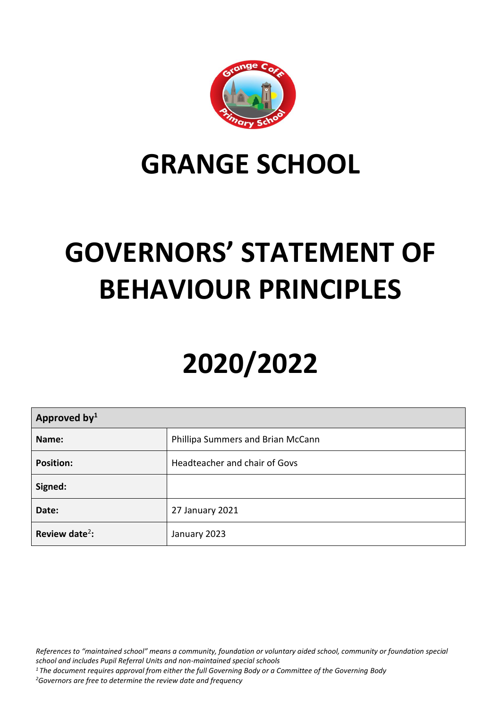

## **GRANGE SCHOOL**

# **GOVERNORS' STATEMENT OF BEHAVIOUR PRINCIPLES**

# **2020/2022**

| Approved by <sup>1</sup>   |                                   |  |
|----------------------------|-----------------------------------|--|
| Name:                      | Phillipa Summers and Brian McCann |  |
| <b>Position:</b>           | Headteacher and chair of Govs     |  |
| Signed:                    |                                   |  |
| Date:                      | 27 January 2021                   |  |
| Review date <sup>2</sup> : | January 2023                      |  |

*References to "maintained school" means a community, foundation or voluntary aided school, community or foundation special school and includes Pupil Referral Units and non-maintained special schools*

- *<sup>1</sup> The document requires approval from either the full Governing Body or a Committee of the Governing Body*
- *<sup>2</sup>Governors are free to determine the review date and frequency*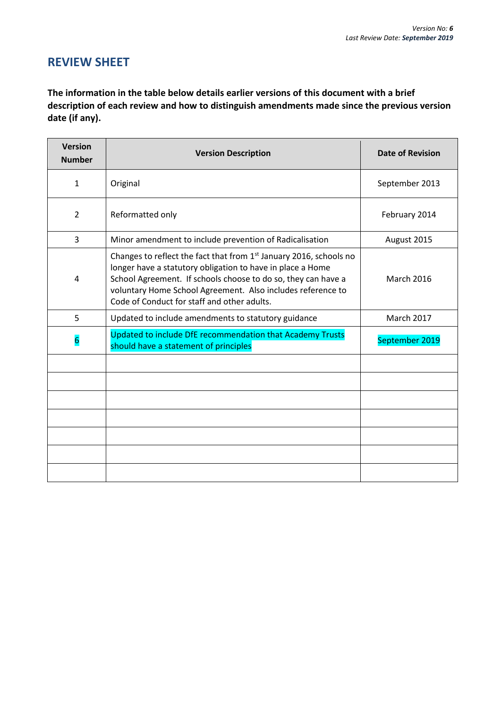## **REVIEW SHEET**

**The information in the table below details earlier versions of this document with a brief description of each review and how to distinguish amendments made since the previous version date (if any).**

| <b>Version</b><br><b>Number</b> | <b>Version Description</b>                                                                                                                                                                                                                                                                                      | <b>Date of Revision</b> |
|---------------------------------|-----------------------------------------------------------------------------------------------------------------------------------------------------------------------------------------------------------------------------------------------------------------------------------------------------------------|-------------------------|
| $\mathbf{1}$                    | Original                                                                                                                                                                                                                                                                                                        | September 2013          |
| $\overline{2}$                  | Reformatted only                                                                                                                                                                                                                                                                                                | February 2014           |
| 3                               | Minor amendment to include prevention of Radicalisation                                                                                                                                                                                                                                                         | August 2015             |
| 4                               | Changes to reflect the fact that from 1st January 2016, schools no<br>longer have a statutory obligation to have in place a Home<br>School Agreement. If schools choose to do so, they can have a<br>voluntary Home School Agreement. Also includes reference to<br>Code of Conduct for staff and other adults. | <b>March 2016</b>       |
| 5                               | Updated to include amendments to statutory guidance                                                                                                                                                                                                                                                             | <b>March 2017</b>       |
| $6\overline{6}$                 | Updated to include DfE recommendation that Academy Trusts<br>should have a statement of principles                                                                                                                                                                                                              | September 2019          |
|                                 |                                                                                                                                                                                                                                                                                                                 |                         |
|                                 |                                                                                                                                                                                                                                                                                                                 |                         |
|                                 |                                                                                                                                                                                                                                                                                                                 |                         |
|                                 |                                                                                                                                                                                                                                                                                                                 |                         |
|                                 |                                                                                                                                                                                                                                                                                                                 |                         |
|                                 |                                                                                                                                                                                                                                                                                                                 |                         |
|                                 |                                                                                                                                                                                                                                                                                                                 |                         |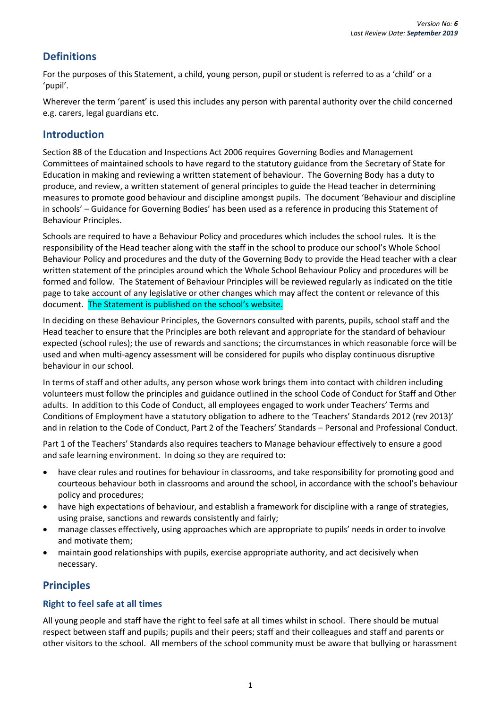### **Definitions**

For the purposes of this Statement, a child, young person, pupil or student is referred to as a 'child' or a 'pupil'.

Wherever the term 'parent' is used this includes any person with parental authority over the child concerned e.g. carers, legal guardians etc.

### **Introduction**

Section 88 of the Education and Inspections Act 2006 requires Governing Bodies and Management Committees of maintained schools to have regard to the statutory guidance from the Secretary of State for Education in making and reviewing a written statement of behaviour. The Governing Body has a duty to produce, and review, a written statement of general principles to guide the Head teacher in determining measures to promote good behaviour and discipline amongst pupils. The document 'Behaviour and discipline in schools' – Guidance for Governing Bodies' has been used as a reference in producing this Statement of Behaviour Principles.

Schools are required to have a Behaviour Policy and procedures which includes the school rules. It is the responsibility of the Head teacher along with the staff in the school to produce our school's Whole School Behaviour Policy and procedures and the duty of the Governing Body to provide the Head teacher with a clear written statement of the principles around which the Whole School Behaviour Policy and procedures will be formed and follow. The Statement of Behaviour Principles will be reviewed regularly as indicated on the title page to take account of any legislative or other changes which may affect the content or relevance of this document. The Statement is published on the school's website.

In deciding on these Behaviour Principles, the Governors consulted with parents, pupils, school staff and the Head teacher to ensure that the Principles are both relevant and appropriate for the standard of behaviour expected (school rules); the use of rewards and sanctions; the circumstances in which reasonable force will be used and when multi-agency assessment will be considered for pupils who display continuous disruptive behaviour in our school.

In terms of staff and other adults, any person whose work brings them into contact with children including volunteers must follow the principles and guidance outlined in the school Code of Conduct for Staff and Other adults. In addition to this Code of Conduct, all employees engaged to work under Teachers' Terms and Conditions of Employment have a statutory obligation to adhere to the 'Teachers' Standards 2012 (rev 2013)' and in relation to the Code of Conduct, Part 2 of the Teachers' Standards – Personal and Professional Conduct.

Part 1 of the Teachers' Standards also requires teachers to Manage behaviour effectively to ensure a good and safe learning environment. In doing so they are required to:

- have clear rules and routines for behaviour in classrooms, and take responsibility for promoting good and courteous behaviour both in classrooms and around the school, in accordance with the school's behaviour policy and procedures;
- have high expectations of behaviour, and establish a framework for discipline with a range of strategies, using praise, sanctions and rewards consistently and fairly;
- manage classes effectively, using approaches which are appropriate to pupils' needs in order to involve and motivate them;
- maintain good relationships with pupils, exercise appropriate authority, and act decisively when necessary.

## **Principles**

#### **Right to feel safe at all times**

All young people and staff have the right to feel safe at all times whilst in school. There should be mutual respect between staff and pupils; pupils and their peers; staff and their colleagues and staff and parents or other visitors to the school. All members of the school community must be aware that bullying or harassment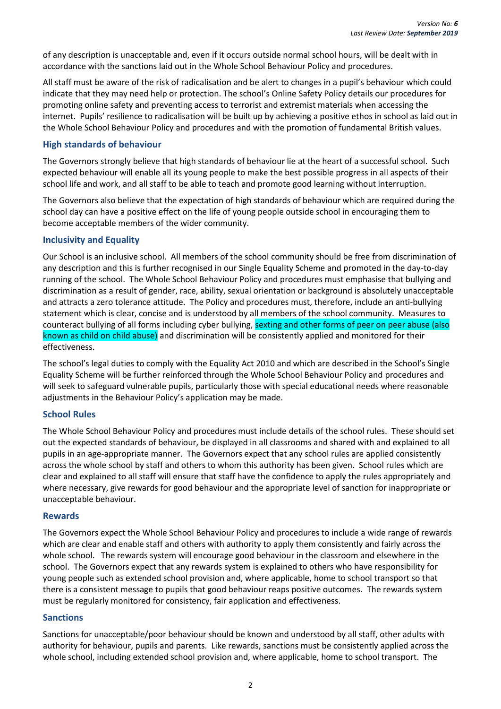of any description is unacceptable and, even if it occurs outside normal school hours, will be dealt with in accordance with the sanctions laid out in the Whole School Behaviour Policy and procedures.

All staff must be aware of the risk of radicalisation and be alert to changes in a pupil's behaviour which could indicate that they may need help or protection. The school's Online Safety Policy details our procedures for promoting online safety and preventing access to terrorist and extremist materials when accessing the internet. Pupils' resilience to radicalisation will be built up by achieving a positive ethos in school as laid out in the Whole School Behaviour Policy and procedures and with the promotion of fundamental British values.

#### **High standards of behaviour**

The Governors strongly believe that high standards of behaviour lie at the heart of a successful school. Such expected behaviour will enable all its young people to make the best possible progress in all aspects of their school life and work, and all staff to be able to teach and promote good learning without interruption.

The Governors also believe that the expectation of high standards of behaviour which are required during the school day can have a positive effect on the life of young people outside school in encouraging them to become acceptable members of the wider community.

#### **Inclusivity and Equality**

Our School is an inclusive school. All members of the school community should be free from discrimination of any description and this is further recognised in our Single Equality Scheme and promoted in the day-to-day running of the school. The Whole School Behaviour Policy and procedures must emphasise that bullying and discrimination as a result of gender, race, ability, sexual orientation or background is absolutely unacceptable and attracts a zero tolerance attitude. The Policy and procedures must, therefore, include an anti-bullying statement which is clear, concise and is understood by all members of the school community. Measures to counteract bullying of all forms including cyber bullying, sexting and other forms of peer on peer abuse (also known as child on child abuse) and discrimination will be consistently applied and monitored for their effectiveness.

The school's legal duties to comply with the Equality Act 2010 and which are described in the School's Single Equality Scheme will be further reinforced through the Whole School Behaviour Policy and procedures and will seek to safeguard vulnerable pupils, particularly those with special educational needs where reasonable adjustments in the Behaviour Policy's application may be made.

#### **School Rules**

The Whole School Behaviour Policy and procedures must include details of the school rules. These should set out the expected standards of behaviour, be displayed in all classrooms and shared with and explained to all pupils in an age-appropriate manner. The Governors expect that any school rules are applied consistently across the whole school by staff and others to whom this authority has been given. School rules which are clear and explained to all staff will ensure that staff have the confidence to apply the rules appropriately and where necessary, give rewards for good behaviour and the appropriate level of sanction for inappropriate or unacceptable behaviour.

#### **Rewards**

The Governors expect the Whole School Behaviour Policy and procedures to include a wide range of rewards which are clear and enable staff and others with authority to apply them consistently and fairly across the whole school. The rewards system will encourage good behaviour in the classroom and elsewhere in the school. The Governors expect that any rewards system is explained to others who have responsibility for young people such as extended school provision and, where applicable, home to school transport so that there is a consistent message to pupils that good behaviour reaps positive outcomes. The rewards system must be regularly monitored for consistency, fair application and effectiveness.

#### **Sanctions**

Sanctions for unacceptable/poor behaviour should be known and understood by all staff, other adults with authority for behaviour, pupils and parents. Like rewards, sanctions must be consistently applied across the whole school, including extended school provision and, where applicable, home to school transport. The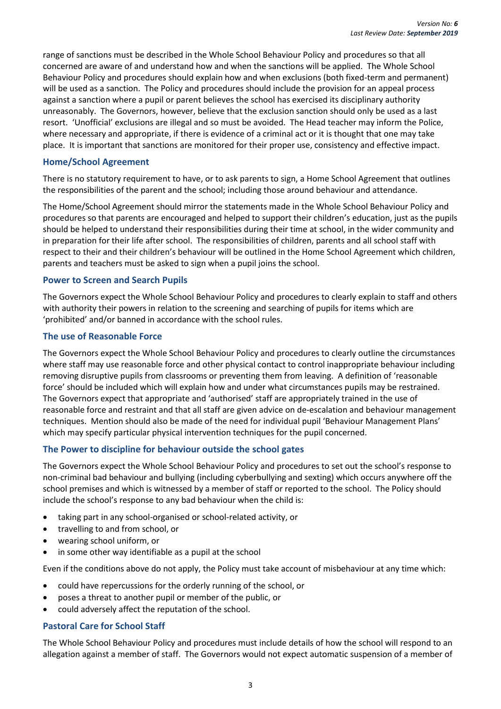range of sanctions must be described in the Whole School Behaviour Policy and procedures so that all concerned are aware of and understand how and when the sanctions will be applied. The Whole School Behaviour Policy and procedures should explain how and when exclusions (both fixed-term and permanent) will be used as a sanction. The Policy and procedures should include the provision for an appeal process against a sanction where a pupil or parent believes the school has exercised its disciplinary authority unreasonably. The Governors, however, believe that the exclusion sanction should only be used as a last resort. 'Unofficial' exclusions are illegal and so must be avoided. The Head teacher may inform the Police, where necessary and appropriate, if there is evidence of a criminal act or it is thought that one may take place. It is important that sanctions are monitored for their proper use, consistency and effective impact.

#### **Home/School Agreement**

There is no statutory requirement to have, or to ask parents to sign, a Home School Agreement that outlines the responsibilities of the parent and the school; including those around behaviour and attendance.

The Home/School Agreement should mirror the statements made in the Whole School Behaviour Policy and procedures so that parents are encouraged and helped to support their children's education, just as the pupils should be helped to understand their responsibilities during their time at school, in the wider community and in preparation for their life after school. The responsibilities of children, parents and all school staff with respect to their and their children's behaviour will be outlined in the Home School Agreement which children, parents and teachers must be asked to sign when a pupil joins the school.

#### **Power to Screen and Search Pupils**

The Governors expect the Whole School Behaviour Policy and procedures to clearly explain to staff and others with authority their powers in relation to the screening and searching of pupils for items which are 'prohibited' and/or banned in accordance with the school rules.

#### **The use of Reasonable Force**

The Governors expect the Whole School Behaviour Policy and procedures to clearly outline the circumstances where staff may use reasonable force and other physical contact to control inappropriate behaviour including removing disruptive pupils from classrooms or preventing them from leaving. A definition of 'reasonable force' should be included which will explain how and under what circumstances pupils may be restrained. The Governors expect that appropriate and 'authorised' staff are appropriately trained in the use of reasonable force and restraint and that all staff are given advice on de-escalation and behaviour management techniques. Mention should also be made of the need for individual pupil 'Behaviour Management Plans' which may specify particular physical intervention techniques for the pupil concerned.

#### **The Power to discipline for behaviour outside the school gates**

The Governors expect the Whole School Behaviour Policy and procedures to set out the school's response to non-criminal bad behaviour and bullying (including cyberbullying and sexting) which occurs anywhere off the school premises and which is witnessed by a member of staff or reported to the school. The Policy should include the school's response to any bad behaviour when the child is:

- taking part in any school-organised or school-related activity, or
- travelling to and from school, or
- wearing school uniform, or
- in some other way identifiable as a pupil at the school

Even if the conditions above do not apply, the Policy must take account of misbehaviour at any time which:

- could have repercussions for the orderly running of the school, or
- poses a threat to another pupil or member of the public, or
- could adversely affect the reputation of the school.

#### **Pastoral Care for School Staff**

The Whole School Behaviour Policy and procedures must include details of how the school will respond to an allegation against a member of staff. The Governors would not expect automatic suspension of a member of